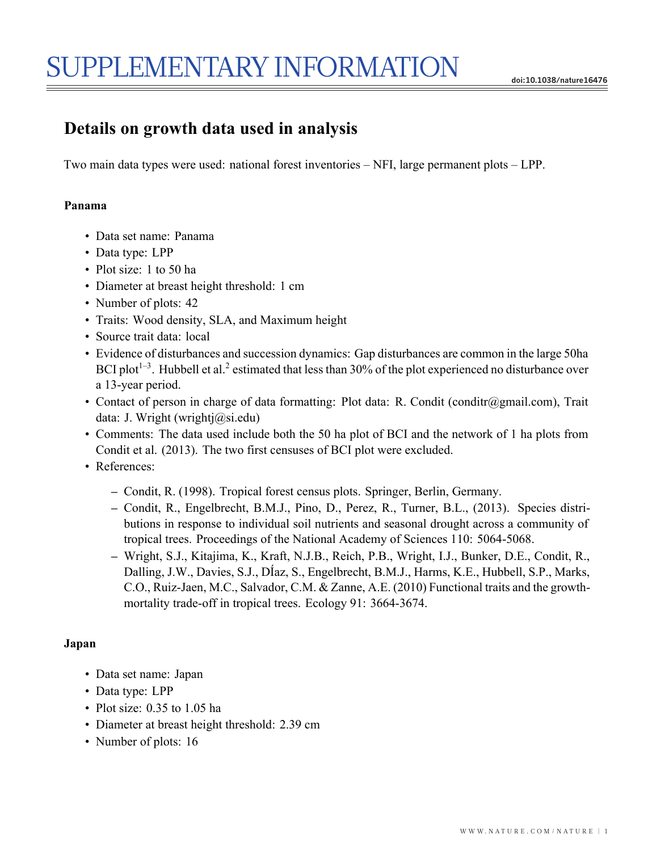# **Details on growth data used in analysis**

Two main data types were used: national forest inventories – NFI, large permanent plots – LPP.

## **Panama**

- Data set name: Panama
- Data type: LPP
- Plot size: 1 to 50 ha
- Diameter at breast height threshold: 1 cm
- Number of plots: 42
- Traits: Wood density, SLA, and Maximum height
- Source trait data: local
- Evidence of disturbances and succession dynamics: Gap disturbances are common in the large 50ha BCI plot<sup>1–3</sup>. Hubbell et al.<sup>2</sup> estimated that less than  $30\%$  of the plot experienced no disturbance over a 13-year period.
- Contact of person in charge of data formatting: Plot data: R. Condit (conditr@gmail.com), Trait data: J. Wright (wrightj@si.edu)
- Comments: The data used include both the 50 ha plot of BCI and the network of 1 ha plots from Condit et al. (2013). The two first censuses of BCI plot were excluded.
- References:
	- **–** Condit, R. (1998). Tropical forest census plots. Springer, Berlin, Germany.
	- **–** Condit, R., Engelbrecht, B.M.J., Pino, D., Perez, R., Turner, B.L., (2013). Species distributions in response to individual soil nutrients and seasonal drought across a community of tropical trees. Proceedings of the National Academy of Sciences 110: 5064-5068.
	- **–** Wright, S.J., Kitajima, K., Kraft, N.J.B., Reich, P.B., Wright, I.J., Bunker, D.E., Condit, R., Dalling, J.W., Davies, S.J., DÍaz, S., Engelbrecht, B.M.J., Harms, K.E., Hubbell, S.P., Marks, C.O., Ruiz-Jaen, M.C., Salvador, C.M. & Zanne, A.E. (2010) Functional traits and the growthmortality trade-off in tropical trees. Ecology 91: 3664-3674.

## **Japan**

- Data set name: Japan
- Data type: LPP
- Plot size: 0.35 to 1.05 ha
- Diameter at breast height threshold: 2.39 cm
- Number of plots: 16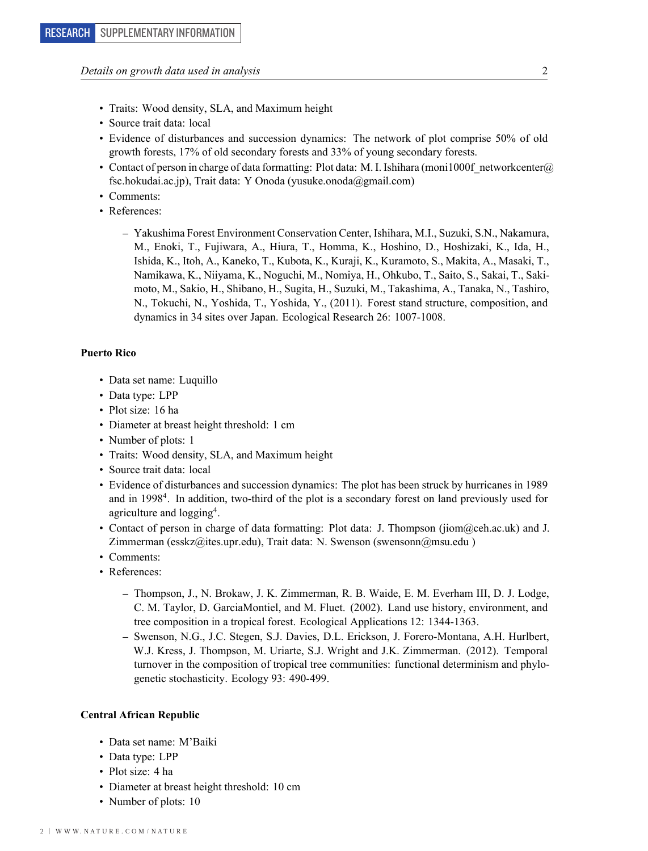- Traits: Wood density, SLA, and Maximum height
- Source trait data: local
- Evidence of disturbances and succession dynamics: The network of plot comprise 50% of old growth forests, 17% of old secondary forests and 33% of young secondary forests.
- Contact of person in charge of data formatting: Plot data: M. I. Ishihara (moni1000f networkcenter@) fsc.hokudai.ac.jp), Trait data: Y Onoda (yusuke.onoda@gmail.com)
- Comments:
- References:
	- **–** Yakushima Forest Environment Conservation Center, Ishihara, M.I., Suzuki, S.N., Nakamura, M., Enoki, T., Fujiwara, A., Hiura, T., Homma, K., Hoshino, D., Hoshizaki, K., Ida, H., Ishida, K., Itoh, A., Kaneko, T., Kubota, K., Kuraji, K., Kuramoto, S., Makita, A., Masaki, T., Namikawa, K., Niiyama, K., Noguchi, M., Nomiya, H., Ohkubo, T., Saito, S., Sakai, T., Sakimoto, M., Sakio, H., Shibano, H., Sugita, H., Suzuki, M., Takashima, A., Tanaka, N., Tashiro, N., Tokuchi, N., Yoshida, T., Yoshida, Y., (2011). Forest stand structure, composition, and dynamics in 34 sites over Japan. Ecological Research 26: 1007-1008.

#### **Puerto Rico**

- Data set name: Luquillo
- Data type: LPP
- Plot size: 16 ha
- Diameter at breast height threshold: 1 cm
- Number of plots: 1
- Traits: Wood density, SLA, and Maximum height
- Source trait data: local
- Evidence of disturbances and succession dynamics: The plot has been struck by hurricanes in 1989 and in 19984. In addition, two-third of the plot is a secondary forest on land previously used for agriculture and logging<sup>4</sup>.
- Contact of person in charge of data formatting: Plot data: J. Thompson (jiom@ceh.ac.uk) and J. Zimmerman (esskz@ites.upr.edu), Trait data: N. Swenson (swensonn@msu.edu)
- Comments:
- References:
	- **–** Thompson, J., N. Brokaw, J. K. Zimmerman, R. B. Waide, E. M. Everham III, D. J. Lodge, C. M. Taylor, D. GarciaMontiel, and M. Fluet. (2002). Land use history, environment, and tree composition in a tropical forest. Ecological Applications 12: 1344-1363.
	- **–** Swenson, N.G., J.C. Stegen, S.J. Davies, D.L. Erickson, J. Forero-Montana, A.H. Hurlbert, W.J. Kress, J. Thompson, M. Uriarte, S.J. Wright and J.K. Zimmerman. (2012). Temporal turnover in the composition of tropical tree communities: functional determinism and phylogenetic stochasticity. Ecology 93: 490-499.

#### **Central African Republic**

- Data set name: M'Baiki
- Data type: LPP
- Plot size: 4 ha
- Diameter at breast height threshold: 10 cm
- Number of plots: 10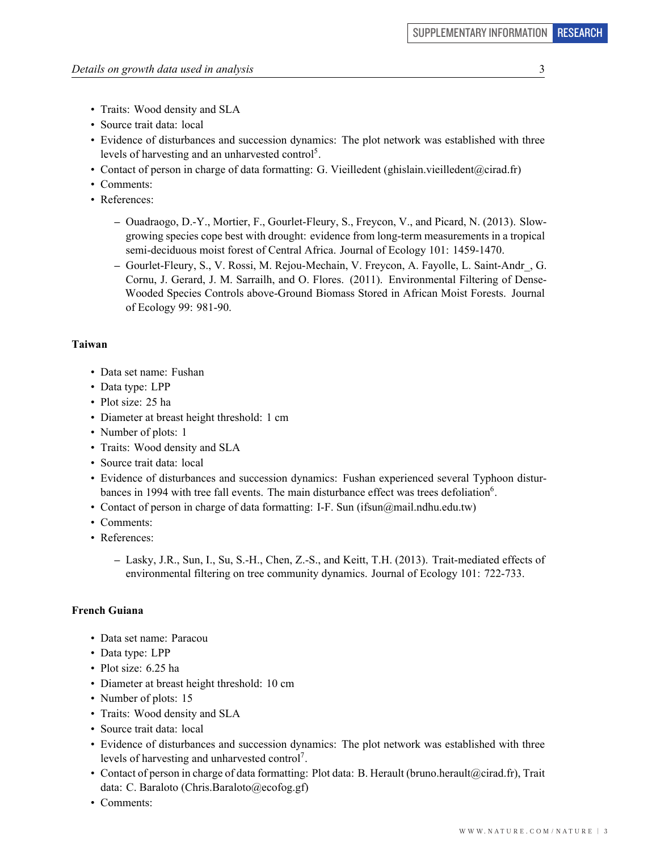- Traits: Wood density and SLA
- Source trait data: local
- Evidence of disturbances and succession dynamics: The plot network was established with three levels of harvesting and an unharvested control<sup>5</sup>.
- Contact of person in charge of data formatting: G. Vieilledent (ghislain.vieilledent@cirad.fr)
- Comments:
- References:
	- **–** Ouadraogo, D.-Y., Mortier, F., Gourlet-Fleury, S., Freycon, V., and Picard, N. (2013). Slowgrowing species cope best with drought: evidence from long-term measurements in a tropical semi-deciduous moist forest of Central Africa. Journal of Ecology 101: 1459-1470.
	- **–** Gourlet-Fleury, S., V. Rossi, M. Rejou-Mechain, V. Freycon, A. Fayolle, L. Saint-Andr\_, G. Cornu, J. Gerard, J. M. Sarrailh, and O. Flores. (2011). Environmental Filtering of Dense-Wooded Species Controls above-Ground Biomass Stored in African Moist Forests. Journal of Ecology 99: 981-90.

#### **Taiwan**

- Data set name: Fushan
- Data type: LPP
- Plot size: 25 ha
- Diameter at breast height threshold: 1 cm
- Number of plots: 1
- Traits: Wood density and SLA
- Source trait data: local
- Evidence of disturbances and succession dynamics: Fushan experienced several Typhoon disturbances in 1994 with tree fall events. The main disturbance effect was trees defoliation<sup>6</sup>.
- Contact of person in charge of data formatting: I-F. Sun (ifsun@mail.ndhu.edu.tw)
- Comments:
- References:
	- **–** Lasky, J.R., Sun, I., Su, S.-H., Chen, Z.-S., and Keitt, T.H. (2013). Trait-mediated effects of environmental filtering on tree community dynamics. Journal of Ecology 101: 722-733.

#### **French Guiana**

- Data set name: Paracou
- Data type: LPP
- Plot size: 6.25 ha
- Diameter at breast height threshold: 10 cm
- Number of plots: 15
- Traits: Wood density and SLA
- Source trait data: local
- Evidence of disturbances and succession dynamics: The plot network was established with three levels of harvesting and unharvested control7.
- Contact of person in charge of data formatting: Plot data: B. Herault (bruno.herault@cirad.fr), Trait data: C. Baraloto (Chris.Baraloto@ecofog.gf)
- Comments: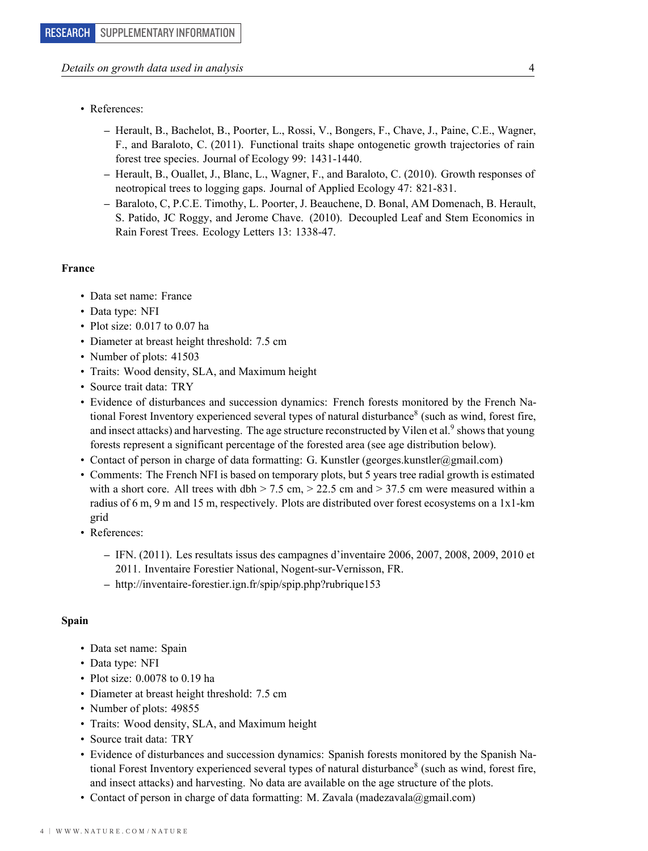- References:
	- **–** Herault, B., Bachelot, B., Poorter, L., Rossi, V., Bongers, F., Chave, J., Paine, C.E., Wagner, F., and Baraloto, C. (2011). Functional traits shape ontogenetic growth trajectories of rain forest tree species. Journal of Ecology 99: 1431-1440.
	- **–** Herault, B., Ouallet, J., Blanc, L., Wagner, F., and Baraloto, C. (2010). Growth responses of neotropical trees to logging gaps. Journal of Applied Ecology 47: 821-831.
	- **–** Baraloto, C, P.C.E. Timothy, L. Poorter, J. Beauchene, D. Bonal, AM Domenach, B. Herault, S. Patido, JC Roggy, and Jerome Chave. (2010). Decoupled Leaf and Stem Economics in Rain Forest Trees. Ecology Letters 13: 1338-47.

#### **France**

- Data set name: France
- Data type: NFI
- Plot size: 0.017 to 0.07 ha
- Diameter at breast height threshold: 7.5 cm
- Number of plots: 41503
- Traits: Wood density, SLA, and Maximum height
- Source trait data: TRY
- Evidence of disturbances and succession dynamics: French forests monitored by the French National Forest Inventory experienced several types of natural disturbance<sup>8</sup> (such as wind, forest fire, and insect attacks) and harvesting. The age structure reconstructed by Vilen et al.<sup>9</sup> shows that young forests represent a significant percentage of the forested area (see age distribution below).
- Contact of person in charge of data formatting: G. Kunstler (georges.kunstler@gmail.com)
- Comments: The French NFI is based on temporary plots, but 5 years tree radial growth is estimated with a short core. All trees with dbh  $> 7.5$  cm,  $> 22.5$  cm and  $> 37.5$  cm were measured within a radius of 6 m, 9 m and 15 m, respectively. Plots are distributed over forest ecosystems on a 1x1-km grid
- References:
	- **–** IFN. (2011). Les resultats issus des campagnes d'inventaire 2006, 2007, 2008, 2009, 2010 et 2011. Inventaire Forestier National, Nogent-sur-Vernisson, FR.
	- **–** http://inventaire-forestier.ign.fr/spip/spip.php?rubrique153

#### **Spain**

- Data set name: Spain
- Data type: NFI
- Plot size: 0.0078 to 0.19 ha
- Diameter at breast height threshold: 7.5 cm
- Number of plots: 49855
- Traits: Wood density, SLA, and Maximum height
- Source trait data: TRY
- Evidence of disturbances and succession dynamics: Spanish forests monitored by the Spanish National Forest Inventory experienced several types of natural disturbance<sup>8</sup> (such as wind, forest fire, and insect attacks) and harvesting. No data are available on the age structure of the plots.
- Contact of person in charge of data formatting: M. Zavala (madezavala@gmail.com)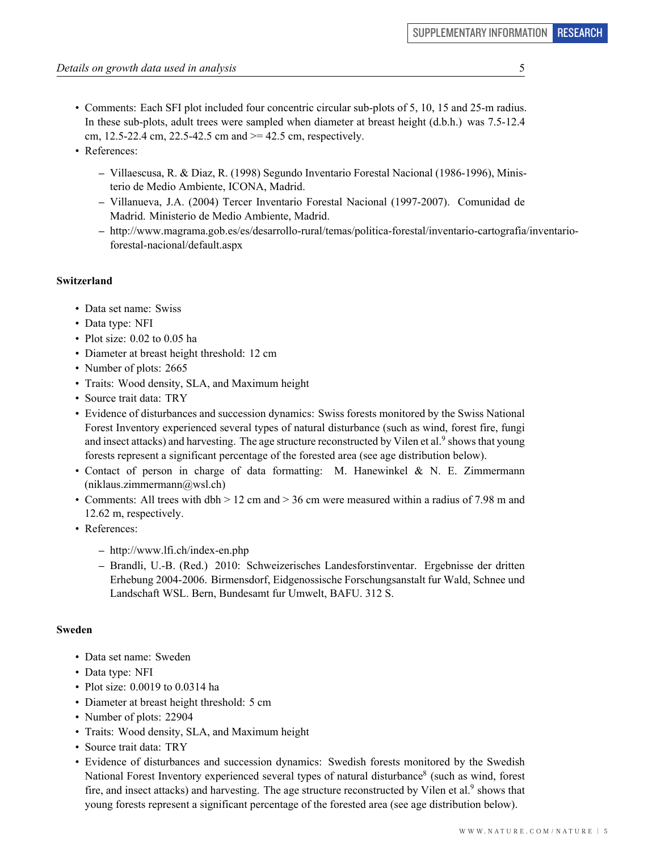- Comments: Each SFI plot included four concentric circular sub-plots of 5, 10, 15 and 25-m radius. In these sub-plots, adult trees were sampled when diameter at breast height (d.b.h.) was 7.5-12.4 cm, 12.5-22.4 cm, 22.5-42.5 cm and  $>= 42.5$  cm, respectively.
- References:
	- **–** Villaescusa, R. & Diaz, R. (1998) Segundo Inventario Forestal Nacional (1986-1996), Ministerio de Medio Ambiente, ICONA, Madrid.
	- **–** Villanueva, J.A. (2004) Tercer Inventario Forestal Nacional (1997-2007). Comunidad de Madrid. Ministerio de Medio Ambiente, Madrid.
	- **–** http://www.magrama.gob.es/es/desarrollo-rural/temas/politica-forestal/inventario-cartografia/inventarioforestal-nacional/default.aspx

## **Switzerland**

- Data set name: Swiss
- Data type: NFI
- Plot size: 0.02 to 0.05 ha
- Diameter at breast height threshold: 12 cm
- Number of plots: 2665
- Traits: Wood density, SLA, and Maximum height
- Source trait data: TRY
- Evidence of disturbances and succession dynamics: Swiss forests monitored by the Swiss National Forest Inventory experienced several types of natural disturbance (such as wind, forest fire, fungi and insect attacks) and harvesting. The age structure reconstructed by Vilen et al.<sup>9</sup> shows that young forests represent a significant percentage of the forested area (see age distribution below).
- Contact of person in charge of data formatting: M. Hanewinkel & N. E. Zimmermann  $(niklaus.zimmermann@wsl.ch)$
- Comments: All trees with dbh > 12 cm and > 36 cm were measured within a radius of 7.98 m and 12.62 m, respectively.
- References:
	- **–** http://www.lfi.ch/index-en.php
	- **–** Brandli, U.-B. (Red.) 2010: Schweizerisches Landesforstinventar. Ergebnisse der dritten Erhebung 2004-2006. Birmensdorf, Eidgenossische Forschungsanstalt fur Wald, Schnee und Landschaft WSL. Bern, Bundesamt fur Umwelt, BAFU. 312 S.

#### **Sweden**

- Data set name: Sweden
- Data type: NFI
- Plot size: 0.0019 to 0.0314 ha
- Diameter at breast height threshold: 5 cm
- Number of plots: 22904
- Traits: Wood density, SLA, and Maximum height
- Source trait data: TRY
- Evidence of disturbances and succession dynamics: Swedish forests monitored by the Swedish National Forest Inventory experienced several types of natural disturbance<sup>8</sup> (such as wind, forest fire, and insect attacks) and harvesting. The age structure reconstructed by Vilen et al.<sup>9</sup> shows that young forests represent a significant percentage of the forested area (see age distribution below).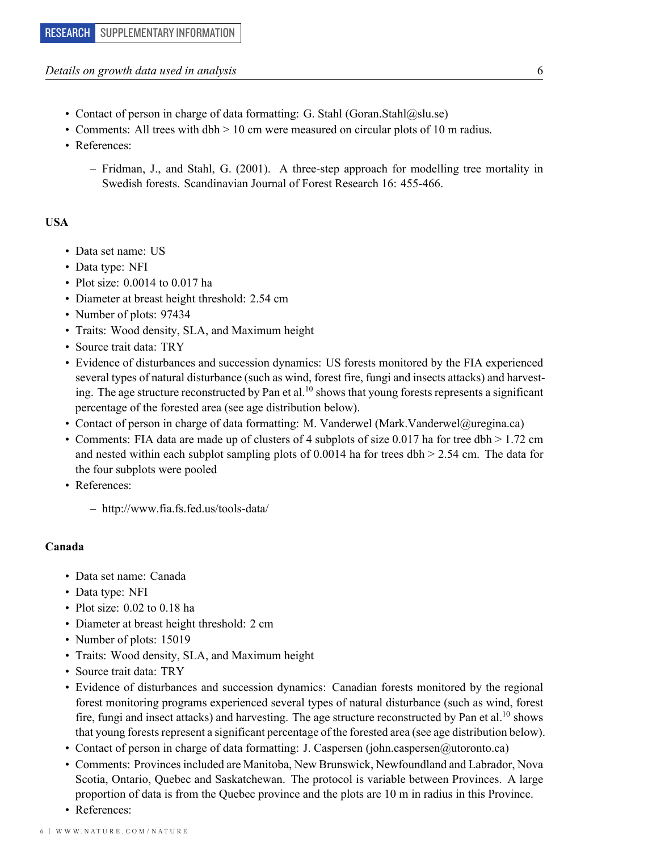#### *Details on growth data used in analysis* 6

- Contact of person in charge of data formatting: G. Stahl (Goran.Stahl@slu.se)
- Comments: All trees with dbh > 10 cm were measured on circular plots of 10 m radius.
- References:
	- **–** Fridman, J., and Stahl, G. (2001). A three-step approach for modelling tree mortality in Swedish forests. Scandinavian Journal of Forest Research 16: 455-466.

#### **USA**

- Data set name: US
- Data type: NFI
- Plot size: 0.0014 to 0.017 ha
- Diameter at breast height threshold: 2.54 cm
- Number of plots: 97434
- Traits: Wood density, SLA, and Maximum height
- Source trait data: TRY
- Evidence of disturbances and succession dynamics: US forests monitored by the FIA experienced several types of natural disturbance (such as wind, forest fire, fungi and insects attacks) and harvesting. The age structure reconstructed by Pan et al.<sup>10</sup> shows that young forests represents a significant percentage of the forested area (see age distribution below).
- Contact of person in charge of data formatting: M. Vanderwel (Mark.Vanderwel@uregina.ca)
- Comments: FIA data are made up of clusters of 4 subplots of size 0.017 ha for tree dbh  $> 1.72$  cm and nested within each subplot sampling plots of 0.0014 ha for trees dbh  $> 2.54$  cm. The data for the four subplots were pooled
- References:
	- **–** http://www.fia.fs.fed.us/tools-data/

#### **Canada**

- Data set name: Canada
- Data type: NFI
- Plot size: 0.02 to 0.18 ha
- Diameter at breast height threshold: 2 cm
- Number of plots: 15019
- Traits: Wood density, SLA, and Maximum height
- Source trait data: TRY
- Evidence of disturbances and succession dynamics: Canadian forests monitored by the regional forest monitoring programs experienced several types of natural disturbance (such as wind, forest fire, fungi and insect attacks) and harvesting. The age structure reconstructed by Pan et al.<sup>10</sup> shows that young forests represent a significant percentage of the forested area (see age distribution below).
- Contact of person in charge of data formatting: J. Caspersen (john.caspersen@utoronto.ca)
- Comments: Provinces included are Manitoba, New Brunswick, Newfoundland and Labrador, Nova Scotia, Ontario, Quebec and Saskatchewan. The protocol is variable between Provinces. A large proportion of data is from the Quebec province and the plots are 10 m in radius in this Province.
- References: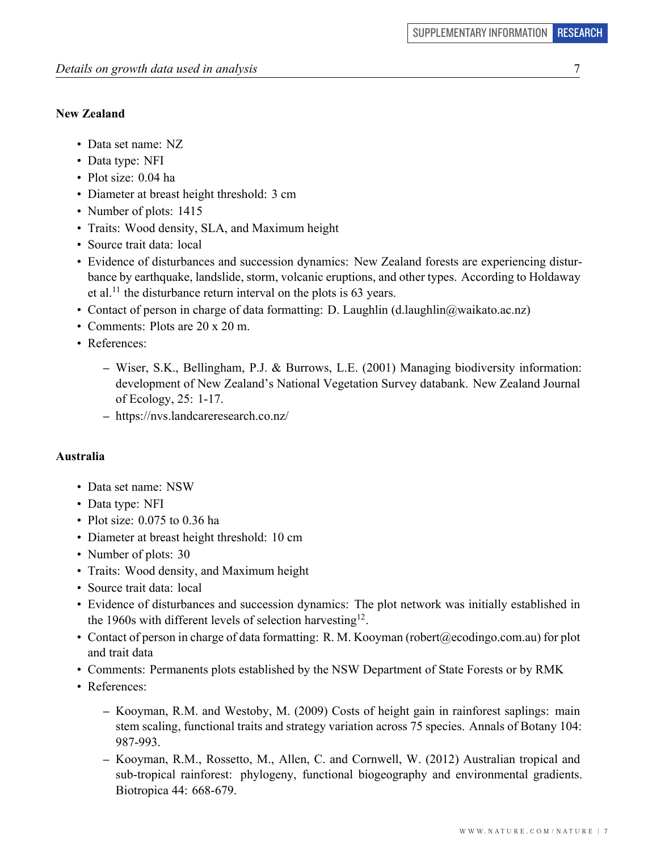# **New Zealand**

- Data set name: NZ
- Data type: NFI
- Plot size: 0.04 ha
- Diameter at breast height threshold: 3 cm
- Number of plots: 1415
- Traits: Wood density, SLA, and Maximum height
- Source trait data: local
- Evidence of disturbances and succession dynamics: New Zealand forests are experiencing disturbance by earthquake, landslide, storm, volcanic eruptions, and other types. According to Holdaway et al.<sup>11</sup> the disturbance return interval on the plots is  $63$  years.
- Contact of person in charge of data formatting: D. Laughlin (d.laughlin@waikato.ac.nz)
- Comments: Plots are 20 x 20 m.
- References:
	- **–** Wiser, S.K., Bellingham, P.J. & Burrows, L.E. (2001) Managing biodiversity information: development of New Zealand's National Vegetation Survey databank. New Zealand Journal of Ecology, 25: 1-17.
	- **–** https://nvs.landcareresearch.co.nz/

## **Australia**

- Data set name: NSW
- Data type: NFI
- Plot size: 0.075 to 0.36 ha
- Diameter at breast height threshold: 10 cm
- Number of plots: 30
- Traits: Wood density, and Maximum height
- Source trait data: local
- Evidence of disturbances and succession dynamics: The plot network was initially established in the 1960s with different levels of selection harvesting<sup>12</sup>.
- Contact of person in charge of data formatting: R. M. Kooyman (robert@ecodingo.com.au) for plot and trait data
- Comments: Permanents plots established by the NSW Department of State Forests or by RMK
- References:
	- **–** Kooyman, R.M. and Westoby, M. (2009) Costs of height gain in rainforest saplings: main stem scaling, functional traits and strategy variation across 75 species. Annals of Botany 104: 987-993.
	- **–** Kooyman, R.M., Rossetto, M., Allen, C. and Cornwell, W. (2012) Australian tropical and sub-tropical rainforest: phylogeny, functional biogeography and environmental gradients. Biotropica 44: 668-679.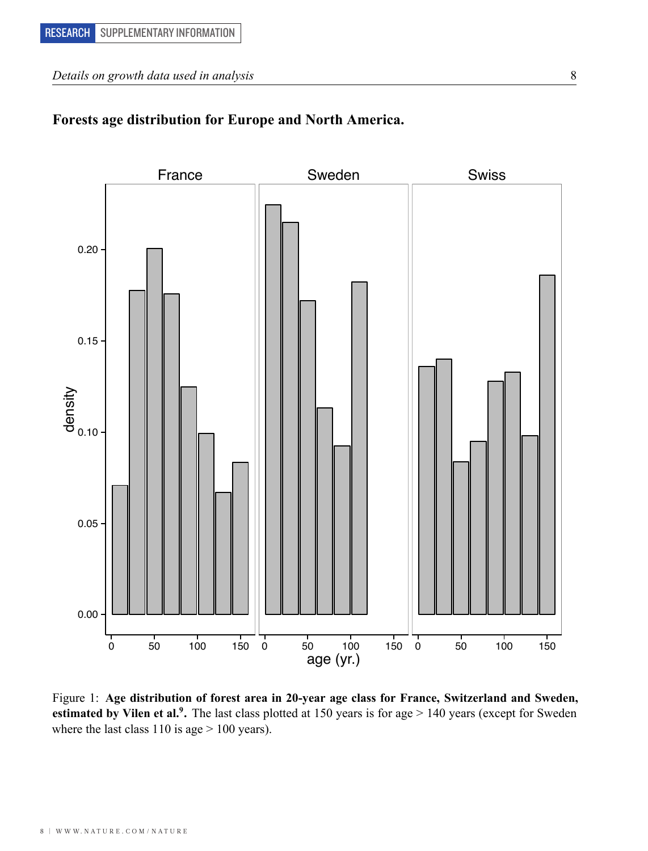# **Forests age distribution for Europe and North America.**



Figure 1: **Age distribution of forest area in 20-year age class for France, Switzerland and Sweden, estimated by Vilen et al.<sup>9</sup> .** The last class plotted at 150 years is for age > 140 years (except for Sweden where the last class 110 is age  $> 100$  years).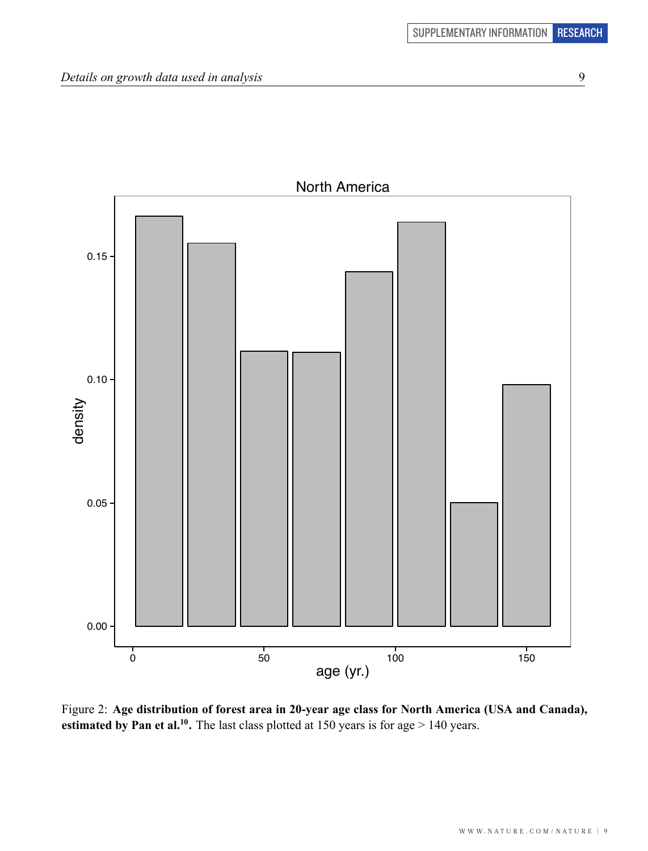

Figure 2: **Age distribution of forest area in 20-year age class for North America (USA and Canada), estimated by Pan et al.<sup>10</sup>.** The last class plotted at 150 years is for age  $> 140$  years. 150 years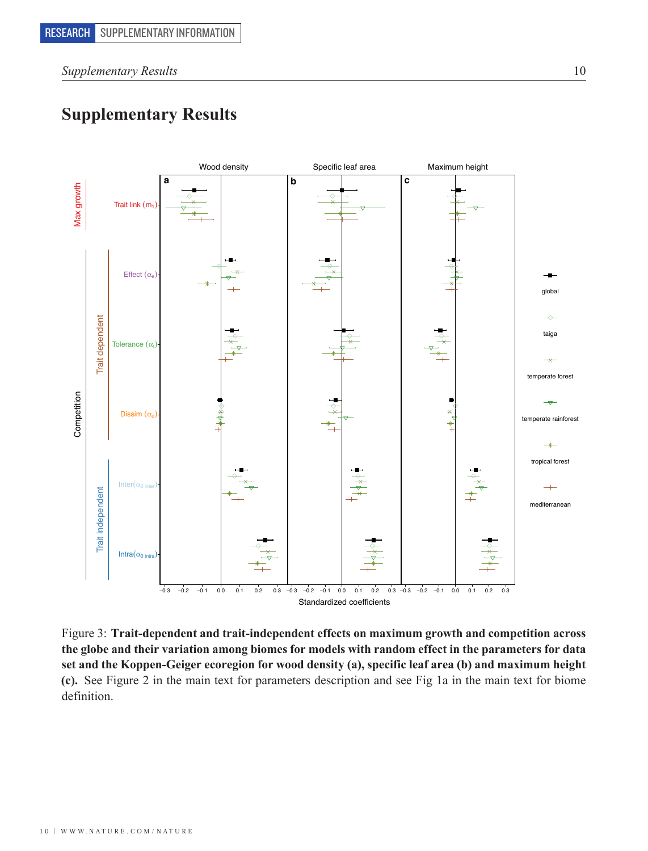*Supplementary Results* 10

# **Supplementary Results**



Figure 3: **Trait-dependent and trait-independent effects on maximum growth and competition across the globe and their variation among biomes for models with random effect in the parameters for data set and the Koppen-Geiger ecoregion for wood density (a), specific leaf area (b) and maximum height (c).** See Figure 2 in the main text for parameters description and see Fig 1a in the main text for biome definition.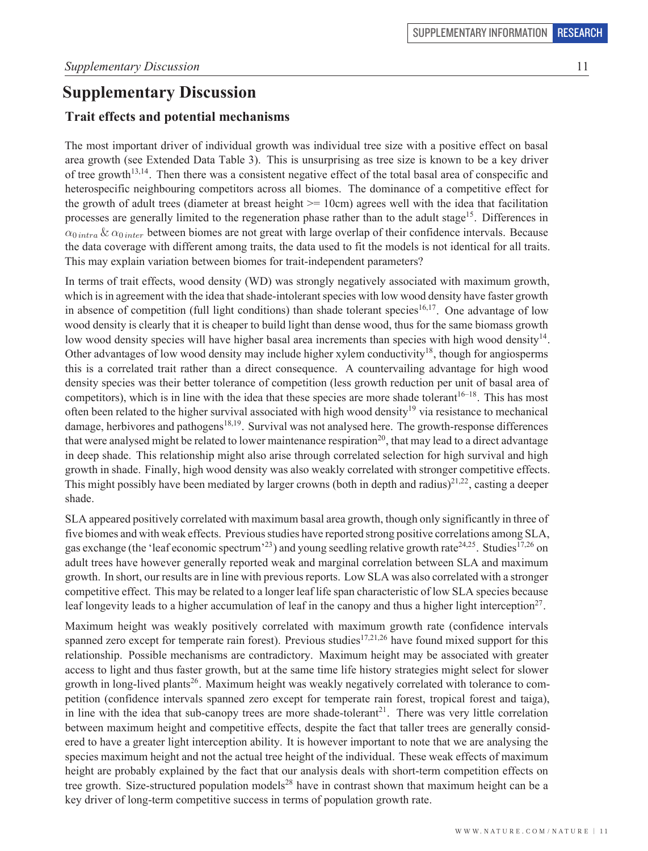# **Supplementary Discussion Supplementary Discussion**

# **Trait effects and potential mechanisms**

The most important driver of individual growth was individual tree size with a positive effect on basal area growth (see Extended Data Table 3). This is unsurprising as tree size is known to be a key driver of tree growth  $13,14$ . Then there was a consistent negative effect of the total basal area of conspecific and of the growth Figure 1. Then there was a consistent negative effect of the total basal area of conspective and<br>heterospecific neighbouring competitors across all biomes. The dominance of a competitive effect for the growth of adult trees (diameter at breast height  $>$  = 10cm) agrees well with the idea that facilitation processes are generally limited to the regeneration phase rather than to the adult stage<sup>15</sup>. Differences in  $\alpha_{0 intra} \& \alpha_{0 inter}$  between biomes are not great with large overlap of their confidence intervals. Because the data coverage with different among traits, the data used to fit the models is not identical for all traits.<br>This may symbin variation between highese for trait independent negations? This may explain variation between biomes for trait-independent parameters? heterospecific neighbouring competitors across all biomes. The dominance of a competitive effect for the growth of adult trees (diameter at breast height  $\ge$  = 10cm) agrees well with the idea that facilitation processes are generally limited to the regeneration phase rather than to the adult stage. Differences in

In terms of trait effects, wood density (WD) was strongly negatively associated with maximum growth, which is in agreement with the idea that shade-intolerant species with low wood density have faster growth in absence of competition (full light conditions) than shade tolerant species<sup>16,17</sup>. One advantage of low wood density is clearly that it is cheaper to build light than dense wood, thus for the same biomass growth low wood density species will have higher basal area increments than species with high wood density  $14$ . Other advantages of low wood density may include higher xylem conductivity<sup>18</sup>, though for angiosperms this is a correlated trait rather than a direct consequence. A countervailing advantage for high wood density species was their better tolerance of competition (less growth reduction per unit of basal area of competitors), which is in line with the idea that these species are more shade tolerant<sup>16-18</sup>. This has most often been related to the higher survival associated with high wood density<sup>19</sup> via resistance to mechanical damage, herbivores and pathogens<sup>18,19</sup>. Survival was not analysed here. The growth-response differences that were analysed might be related to lower maintenance respiration<sup>20</sup>, that may lead to a direct advantage in deep shade. This relationship might also arise through correlated selection for high survival and high growth in shade. Finally, high wood density was also weakly correlated with stronger competitive effects. This might possibly have been mediated by larger crowns (both in depth and radius) $2^{1,22}$ , casting a deeper shade.  $\theta$  shade.  $\frac{1}{100}$  in absence of computer the competition (full light computation (full light computer) than shade to the sum species  $\frac{1}{100}$  $r_{\rm s}$  shade.

SLA appeared positively correlated with maximum basal area growth, though only significantly in three of five biomes and with weak effects. Previous studies have reported strong positive correlations among SLA, gas exchange (the 'leaf economic spectrum'<sup>23</sup>) and young seedling relative growth rate<sup>24,25</sup>. Studies<sup>17,26</sup> on adult trees have however generally reported weak and marginal correlation between SLA and maximum growth. In short, our results are in line with previous reports. Low SLA was also correlated with a stronger exposure in short, our results are in the with previous reports. Low SLA was also correlated with a stronger<br>competitive effect. This may be related to a longer leaf life span characteristic of low SLA species because leaf longevity leads to a higher accumulation of leaf in the canopy and thus a higher light interception<sup>27</sup>.

Maximum height was weakly positively correlated with maximum growth rate (confidence intervals spanned zero except for temperate rain forest). Previous studies<sup>17,21,26</sup> have found mixed support for this spanned zero except for temperate rain forest). relationship. Possible mechanisms are contradictory. Maximum height may be associated with greater access to light and thus faster growth, but at the same time life history strategies might select for slower growth in long-lived plants<sup>26</sup>. Maximum height was weakly negatively correlated with tolerance to competition (confidence intervals spanned zero except for temperate rain forest, tropical forest and taiga), in line with the idea that sub-canopy trees are more shade-tolerant<sup>21</sup>. There was very little correlation between maximum height and competitive effects, despite the fact that taller trees are generally considered to be the constant of the constant of the constant of the constant of the constant of the constant of the constant ered to have a greater light interception ability. It is however important to note that we are analysing the species maximum height and not the actual tree height of the individual. These weak effects of maximum height are probably explained by the fact that our analysis deals with short-term competition effects on tree growth. Size-structured population models<sup>28</sup> have in contrast shown that maximum height can be a key driver of long-term competitive success in terms of population growth rate. Maximum neight was weakly positively correlated with maximum growth rate (confidence intervals spanned zero except for temperate rain forest). Previous studies  $\frac{1}{2}$  have found mixed support for this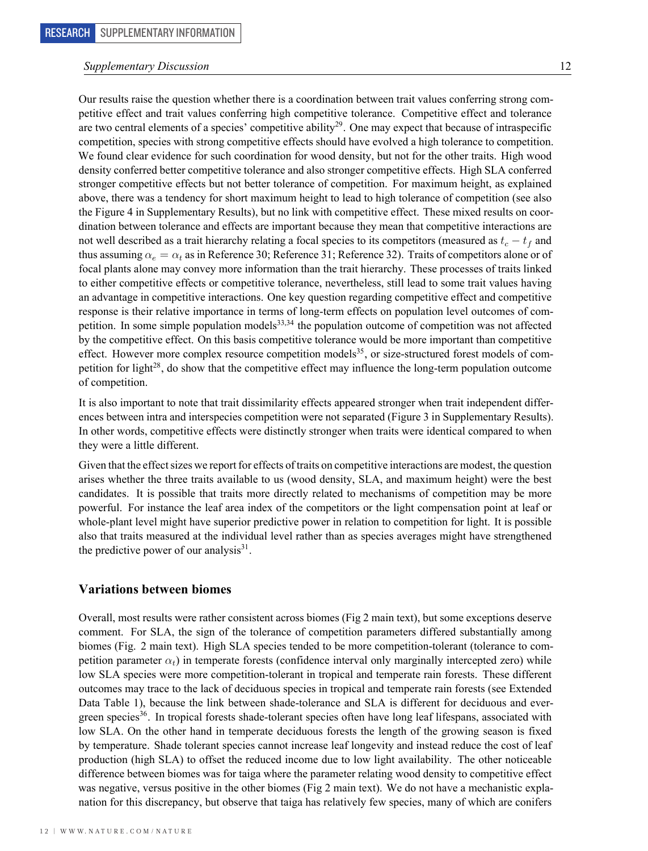# *Supplementary Discussion* 12 *Supplementary Discussion* 12

Our results raise the question whether there is a coordination between trait values conferring strong competitive effect and trait values conferring high competitive tolerance. Competitive effect and tolerance are two central elements of a species' competitive ability<sup>29</sup>. One may expect that because of intraspecific competition, species with strong competitive effects should have evolved a high tolerance to competition. We found clear evidence for such coordination for wood density, but not for the other traits. High wood density conferred better competitive tolerance and also stronger competitive effects. High SLA conferred stronger competitive effects but not better tolerance of competition. For maximum height, as explained above, there was a tendency for short maximum height to lead to high tolerance of competition (see also the Figure 4 in Supplementary Results), but no link with competitive effect. These mixed results on coordination between tolerance and effects are important because they mean that competitive interactions are not well described as a trait hierarchy relating a focal species to its competitors (measured as  $t_c - t_f$  and thus assuming  $\alpha_e = \alpha_t$  as in Reference 30; Reference 31; Reference 32). Traits of competitors alone or of focal plants alone may convey more information than the trait hierarchy. These processes of traits linked to either competitive effects or competitive tolerance, nevertheless, still lead to some trait values having an advantage in competitive interactions. One key question regarding competitive effect and competitive response is their relative importance in terms of long-term effects on population level outcomes of competition. In some simple population models<sup>33,34</sup> the population outcome of competition was not affected by the competitive effect. On this basis competitive tolerance would be more important than competitive effect. However more complex resource competition models<sup>35</sup>, or size-structured forest models of competition for light<sup>28</sup>, do show that the competitive effect may influence the long-term population outcome of competition.  $\beta$  for competition.

It is also important to note that trait dissimilarity effects appeared stronger when trait independent differences between intra and interspecies competition were not separated (Figure 3 in Supplementary Results). In other words, competitive effects were distinctly stronger when traits were identical compared to when they were a little different.

Given that the effect sizes we report for effects of traits on competitive interactions are modest, the question arises whether the three traits available to us (wood density, SLA, and maximum height) were the best candidates. It is possible that traits more directly related to mechanisms of competition may be more eand the state is a possible that the traits above directly related to incertainisms or competition may be more<br>powerful. For instance the leaf area index of the competitors or the light compensation point at leaf or powerful. To misulate the fear area mask of the competitors of the right compensation point at fear of whole-plant level might have superior predictive power in relation to competition for light. It is possible also that traits measured at the individual level rather than as species averages might have strengthened at leaf or the light competition point at leaf area in the competition point at leaf or the light competition point the predictive power of our analysis<sup>31</sup>.  $\alpha$  that the individual level rather than as species  $\alpha$ 

#### **Variations between biomes**

Overall, most results were rather consistent across biomes (Fig 2 main text), but some exceptions deserve comment. For SLA, the sign of the tolerance of competition parameters differed substantially among biomes (Fig. 2 main text). High SLA species tended to be more competition-tolerant (tolerance to competition parameter  $\alpha_t$ ) in temperate forests (confidence interval only marginally intercepted zero) while low SLA species were more competition-tolerant in tropical and temperate rain forests. These different outcomes may trace to the lack of deciduous species in tropical and temperate rain forests (see Extended Data Table 1), because the link between shade-tolerance and SLA is different for deciduous and evergreen species<sup>36</sup>. In tropical forests shade-tolerant species often have long leaf lifespans, associated with low SLA. On the other hand in temperate deciduous forests the length of the growing season is fixed by temperature. Shade tolerant species cannot increase leaf longevity and instead reduce the cost of leaf production (high SLA) to offset the reduced income due to low light availability. The other noticeable difference between biomes was for taiga where the parameter relating wood density to competitive effect was negative, versus positive in the other biomes (Fig 2 main text). We do not have a mechanistic explanation for this discrepancy, but observe that taiga has relatively few species, many of which are conifers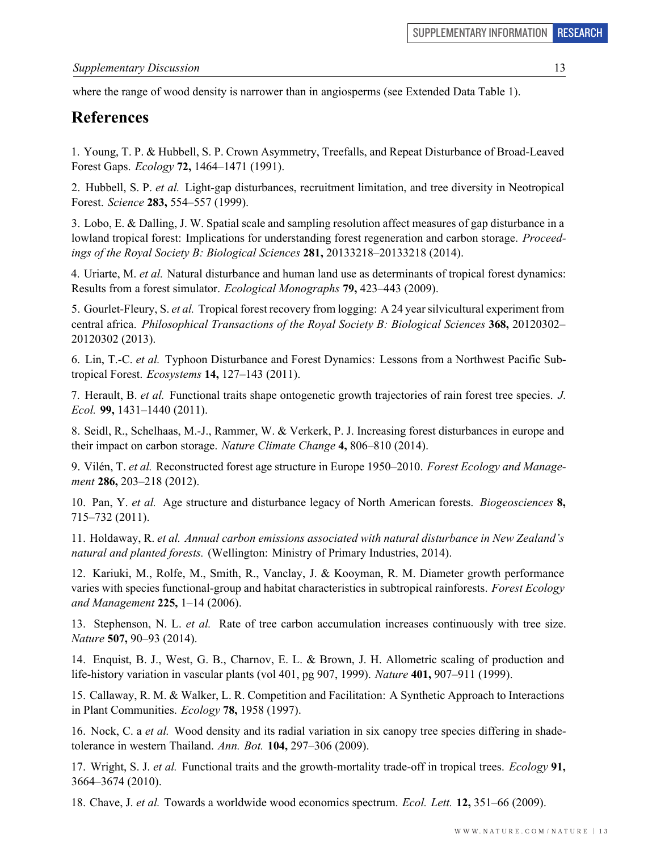where the range of wood density is narrower than in angiosperms (see Extended Data Table 1).

#### **References**  $\mathbf{D}$  of anong angiosperms (see Extending Data Table 1).

1. Young, T. P. & Hubbell, S. P. Crown Asymmetry, Treefalls, and Repeat Disturbance of Broad-Leaved **References** Forest Gaps. *Ecology* **72,** 1464–1471 (1991).

2. Hubbell, S. P. et al. Light-gap disturbances, recruitment limitation, and tree diversity in Neotropical Forest. *Science* **283**, 554–557 (1999).

3. Lobo, E. & Dalling, J. W. Spatial scale and sampling resolution affect measures of gap disturbance in a lowland tropical forest: Implications for understanding forest regeneration and carbon storage. Proceedings of the Royal Society B: Biological Sciences **281,** 20133218–20133218 (2014).  $3.$  Lobo, E.  $\frac{1}{2}$  and sampling resolution affect measures of gap disturbance in a few disturbance in affect measures of  $\frac{1}{2}$ 

4. Uriarte, M. *et al.* Natural disturbance and human land use as determinants of tropical forest dynamics: Results from a forest simulator. *Ecological Monographs* **79**, 423–443 (2009). 4. Uriarte, M. et al. Natural disturbance and human land use as determinants of tropical forest dynamics:

5. Gourlet-Fleury, S. et al. Tropical forest recovery from logging: A 24 year silvicultural experiment from central africa. *Philosophical Transactions of the Royal Society B: Biological Sciences* 368, 20120302– 20120302 (2013). 5. Gourlet-Fleury, S. *et al.* Tropical forest recovery from logging: A 24 year silvicultural experiment from central africa. *Philosophical Transactions of the Royal Society B: Biological Sciences* **368,** 20120302–

6. Lin, T.-C. et al. Typhoon Disturbance and Forest Dynamics: Lessons from a Northwest Pacific Subtropical Forest. *Ecosystems* **14,** 127–143 (2011).

7. Herault, B. et al. Functional traits shape ontogenetic growth trajectories of rain forest tree species. J. *Ecol.* **99,** 1431–1440 (2011).

8. Seidl, R., Schelhaas, M.-J., Rammer, W. & Verkerk, P. J. Increasing forest disturbances in europe and their impact on carbon storage. Nature Climate Change 4, 806–810 (2014).

9. Vilén, T. et al. Reconstructed forest age structure in Europe 1950-2010. Forest Ecology and Manage*ment* **286**, 203–218 (2012). ment **200,** 203–210 (2012).

10. Pan, Y. et al. Age structure and disturbance legacy of North American forests. Biogeosciences 8, 715–732 (2011). *ment* **286,** 203–218 (2012). 10. Pan, Y. *et al.* Age structure and disturbance legacy of North American forests. *Biogeosciences* **8,**

11. Holdaway, R. et al. Annual carbon emissions associated with natural disturbance in New Zealand's natural and planted forests. (Wellington: Ministry of Primary Industries, 2014).

12. Kariuki, M., Rolfe, M., Smith, R., Vanclay, J. & Kooyman, R. M. Diameter growth performance varies with species functional-group and habitat characteristics in subtropical rainforests. Forest Ecology and Management  $225$ ,  $1-14$   $(2006)$ .  $12.11$  Kariuki, M.,  $22.8$ ,  $3.11$  K.,  $(20.00)$ ,  $(20.00)$ 

13. Stephenson, N. L. et al. Rate of tree carbon accumulation increases continuously with tree size. *Nature* **507,** 90–93 (2014).  $13.8$  Stephenson, N. 2001, 2014).

14. Enquist, B. J., West, G. B., Charnov, E. L. & Brown, J. H. Allometric scaling of production and life-history variation in vascular plants (vol 401, pg 907, 1999). Nature 401, 907–911 (1999).

15. Callaway, R. M. & Walker, L. R. Competition and Facilitation: A Synthetic Approach to Interactions in Plant Communities. *Ecology* **78**, 1958 (1997).

16. Nock, C. a et al. Wood density and its radial variation in six canopy tree species differing in shadetolerance in western Thailand. Ann. Bot.  $104$ ,  $297-306$  (2009).

17. Wright, S. J. et al. Functional traits and the growth-mortality trade-off in tropical trees. Ecology 91, 3664–3674 (2010). tolerance in western Thailand. *Ann. Bot.* **104,** 297–306 (2009). 17. Wright, S. J. *et al.* Functional traits and the growth-mortality trade-off in tropical trees. *Ecology* **91,**

18. Chave, J. et al. Towards a worldwide wood economics spectrum. Ecol. Lett. 12, 351-66 (2009).